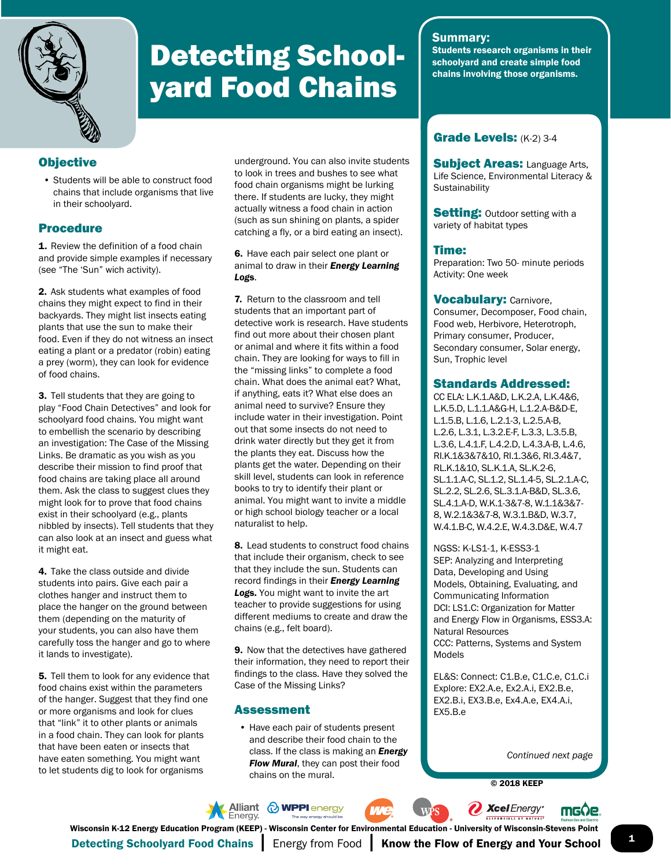

# Detecting Schoolyard Food Chains

## Summary:

Students research organisms in their schoolyard and create simple food chains involving those organisms.

# **Objective**

• Students will be able to construct food chains that include organisms that live in their schoolyard.

# Procedure

**1.** Review the definition of a food chain and provide simple examples if necessary (see "The 'Sun" wich activity).

2. Ask students what examples of food chains they might expect to find in their backyards. They might list insects eating plants that use the sun to make their food. Even if they do not witness an insect eating a plant or a predator (robin) eating a prey (worm), they can look for evidence of food chains.

3. Tell students that they are going to play "Food Chain Detectives" and look for schoolyard food chains. You might want to embellish the scenario by describing an investigation: The Case of the Missing Links. Be dramatic as you wish as you describe their mission to find proof that food chains are taking place all around them. Ask the class to suggest clues they might look for to prove that food chains exist in their schoolyard (e.g., plants nibbled by insects). Tell students that they can also look at an insect and guess what it might eat.

4. Take the class outside and divide students into pairs. Give each pair a clothes hanger and instruct them to place the hanger on the ground between them (depending on the maturity of your students, you can also have them carefully toss the hanger and go to where it lands to investigate).

5. Tell them to look for any evidence that food chains exist within the parameters of the hanger. Suggest that they find one or more organisms and look for clues that "link" it to other plants or animals in a food chain. They can look for plants that have been eaten or insects that have eaten something. You might want to let students dig to look for organisms

underground. You can also invite students to look in trees and bushes to see what food chain organisms might be lurking there. If students are lucky, they might actually witness a food chain in action (such as sun shining on plants, a spider catching a fly, or a bird eating an insect).

#### 6. Have each pair select one plant or animal to draw in their *Energy Learning Log*s.

7. Return to the classroom and tell students that an important part of detective work is research. Have students find out more about their chosen plant or animal and where it fits within a food chain. They are looking for ways to fill in the "missing links" to complete a food chain. What does the animal eat? What, if anything, eats it? What else does an animal need to survive? Ensure they include water in their investigation. Point out that some insects do not need to drink water directly but they get it from the plants they eat. Discuss how the plants get the water. Depending on their skill level, students can look in reference books to try to identify their plant or animal. You might want to invite a middle or high school biology teacher or a local naturalist to help.

8. Lead students to construct food chains that include their organism, check to see that they include the sun. Students can record findings in their *Energy Learning Log*s. You might want to invite the art teacher to provide suggestions for using different mediums to create and draw the chains (e.g., felt board).

9. Now that the detectives have gathered their information, they need to report their findings to the class. Have they solved the Case of the Missing Links?

### Assessment

• Have each pair of students present and describe their food chain to the class. If the class is making an *Energy Flow Mural*, they can post their food chains on the mural.

# Grade Levels: (K-2) 3-4

**Subject Areas: Language Arts,** Life Science, Environmental Literacy & **Sustainability** 

**Setting:** Outdoor setting with a variety of habitat types

### Time:

Preparation: Two 50- minute periods Activity: One week

#### **Vocabulary: Carnivore,**

Consumer, Decomposer, Food chain, Food web, Herbivore, Heterotroph, Primary consumer, Producer, Secondary consumer, Solar energy, Sun, Trophic level

#### Standards Addressed:

CC ELA: L.K.1.A&D, L.K.2.A, L.K.4&6, L.K.5.D, L.1.1.A&G-H, L.1.2.A-B&D-E, L.1.5.B, L.1.6, L.2.1-3, L.2.5.A-B, L.2.6, L.3.1, L.3.2.E-F, L.3.3, L.3.5.B, L.3.6, L.4.1.F, L.4.2.D, L.4.3.A-B, L.4.6, RI.K.1&3&7&10, RI.1.3&6, RI.3.4&7, RL.K.1&10, SL.K.1.A, SL.K.2-6, SL.1.1.A-C, SL.1.2, SL.1.4-5, SL.2.1.A-C, SL.2.2, SL.2.6, SL.3.1.A-B&D, SL.3.6, SL.4.1.A-D, W.K.1-3&7-8, W.1.1&3&7- 8, W.2.1&3&7-8, W.3.1.B&D, W.3.7, W.4.1.B-C, W.4.2.E, W.4.3.D&E, W.4.7

NGSS: K-LS1-1, K-ESS3-1 SEP: Analyzing and Interpreting Data, Developing and Using Models, Obtaining, Evaluating, and Communicating Information DCI: LS1.C: Organization for Matter and Energy Flow in Organisms, ESS3.A: Natural Resources CCC: Patterns, Systems and System Models

EL&S: Connect: C1.B.e, C1.C.e, C1.C.i Explore: EX2.A.e, Ex2.A.i, EX2.B.e, EX2.B.i, EX3.B.e, Ex4.A.e, EX4.A.i, EX5.B.e

*Continued next page*

© 2018 KEEP









Detecting Schoolyard Food Chains | Energy from Food | Know the Flow of Energy and Your School Wisconsin K-12 Energy Education Program (KEEP) - Wisconsin Center for Environmental Education - University of Wisconsin-Stevens Point